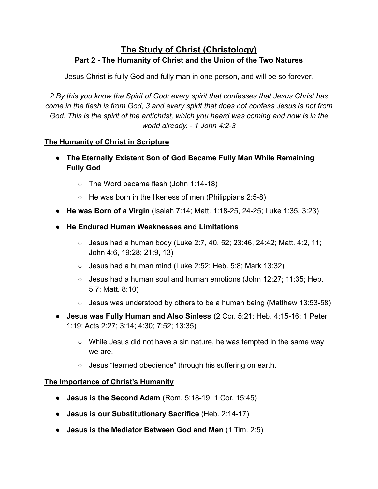# **The Study of Christ (Christology)** Part 2 - The Humanity of Christ and the Union of the Two Natures

Jesus Christ is fully God and fully man in one person, and will be so forever.

2 By this you know the Spirit of God: every spirit that confesses that Jesus Christ has *come in the flesh is from God, 3 and every spirit that does not confess Jesus is not from God. This is the spirit of the antichrist, which you heard was coming and now is in the Zorld alread\. - 1 John 4:2-3*

### **The Humanity of Christ in Scripture**

- The Eternally Existent Son of God Became Fully Man While Remaining **Fully God** 
	- The Word became flesh (John 1:14-18)
	- He was born in the likeness of men (Philippians 2:5-8)
- He was Born of a Virgin (Isaiah 7:14; Matt. 1:18-25, 24-25; Luke 1:35, 3:23)
- He Endured Human Weaknesses and Limitations
	- $\circ$  Jesus had a human body (Luke 2:7, 40, 52; 23:46, 24:42; Matt. 4:2, 11; John 4:6, 19:28; 21:9, 13)
	- $\circ$  Jesus had a human mind (Luke 2:52; Heb. 5:8; Mark 13:32)
	- Jesus had a human soul and human emotions (John 12:27; 11:35; Heb. 5:7; Matt. 8:10)
	- $\circ$  Jesus was understood by others to be a human being (Matthew 13:53-58)
- Jesus was Fully Human and Also Sinless (2 Cor. 5:21; Heb. 4:15-16; 1 Peter 1:19; Acts 2:27; 3:14; 4:30; 7:52; 13:35)
	- $\circ$  While Jesus did not have a sin nature, he was tempted in the same way we are.
	- Jesus "learned obedience" through his suffering on earth.

#### **The Importance of Christ's Humanity**

- **Jesus is the Second Adam** (Rom. 5:18-19; 1 Cor. 15:45)
- Jesus is our Substitutionary Sacrifice (Heb. 2:14-17)
- Jesus is the Mediator Between God and Men (1 Tim. 2:5)